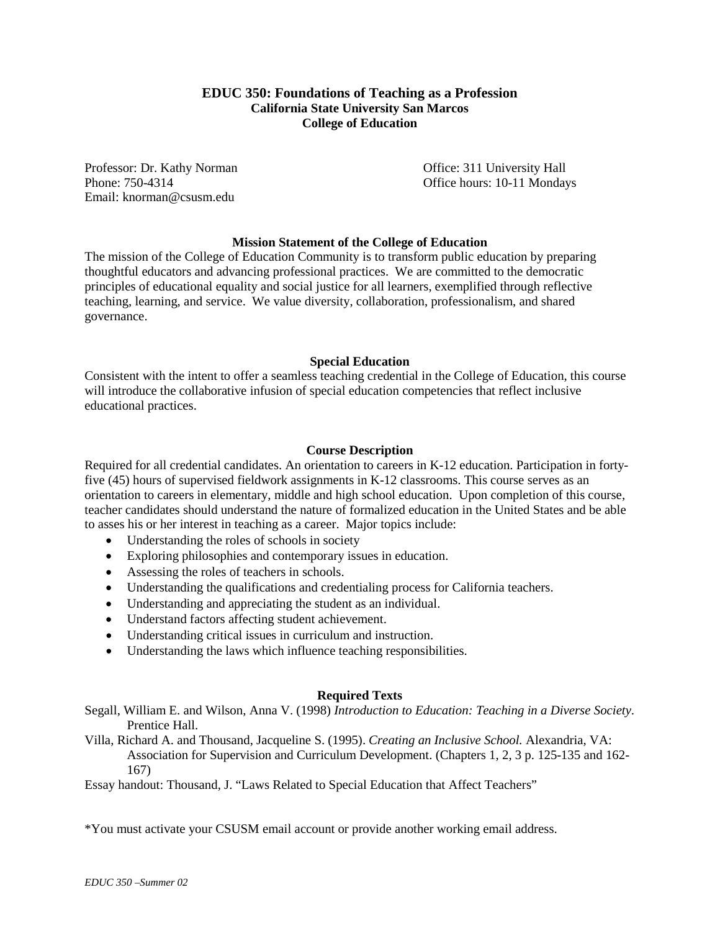## **EDUC 350: Foundations of Teaching as a Profession California State University San Marcos College of Education**

Professor: Dr. Kathy Norman Office: 311 University Hall Email: knorman@csusm.edu

Phone: 750-4314 **Office hours: 10-11 Mondays** 

## **Mission Statement of the College of Education**

The mission of the College of Education Community is to transform public education by preparing thoughtful educators and advancing professional practices. We are committed to the democratic principles of educational equality and social justice for all learners, exemplified through reflective teaching, learning, and service. We value diversity, collaboration, professionalism, and shared governance.

#### **Special Education**

Consistent with the intent to offer a seamless teaching credential in the College of Education, this course will introduce the collaborative infusion of special education competencies that reflect inclusive educational practices.

#### **Course Description**

Required for all credential candidates. An orientation to careers in K-12 education. Participation in fortyfive (45) hours of supervised fieldwork assignments in K-12 classrooms. This course serves as an orientation to careers in elementary, middle and high school education. Upon completion of this course, teacher candidates should understand the nature of formalized education in the United States and be able to asses his or her interest in teaching as a career. Major topics include:

- Understanding the roles of schools in society
- Exploring philosophies and contemporary issues in education.
- Assessing the roles of teachers in schools.
- Understanding the qualifications and credentialing process for California teachers.
- Understanding and appreciating the student as an individual.
- Understand factors affecting student achievement.
- Understanding critical issues in curriculum and instruction.
- Understanding the laws which influence teaching responsibilities.

#### **Required Texts**

Segall, William E. and Wilson, Anna V. (1998) *Introduction to Education: Teaching in a Diverse Society*. Prentice Hall.

Villa, Richard A. and Thousand, Jacqueline S. (1995). *Creating an Inclusive School.* Alexandria, VA: Association for Supervision and Curriculum Development. (Chapters 1, 2, 3 p. 125-135 and 162- 167)

Essay handout: Thousand, J. "Laws Related to Special Education that Affect Teachers"

\*You must activate your CSUSM email account or provide another working email address.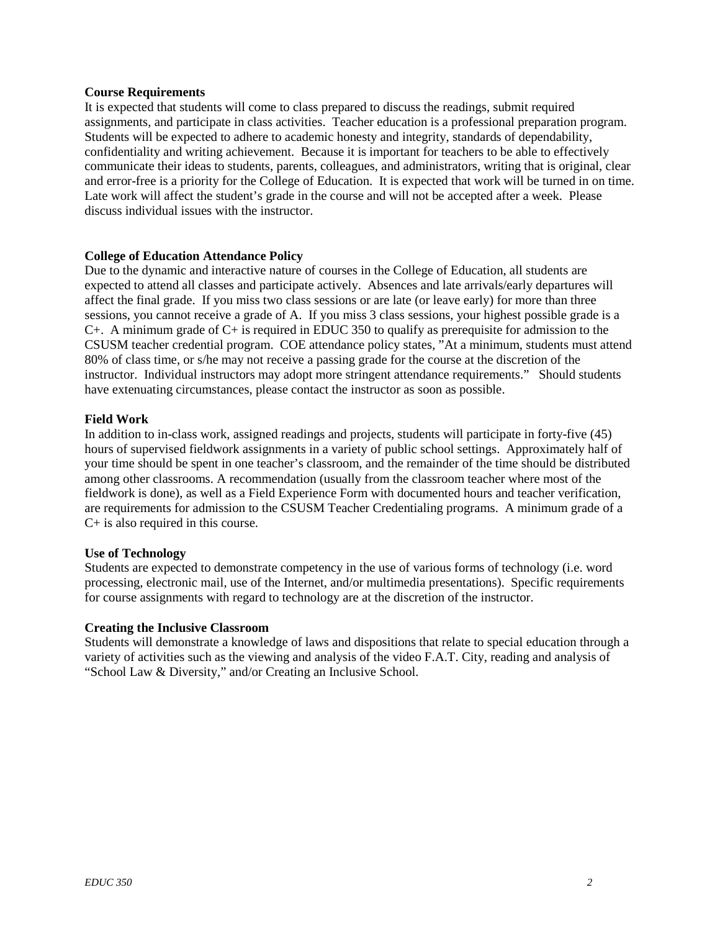#### **Course Requirements**

It is expected that students will come to class prepared to discuss the readings, submit required assignments, and participate in class activities. Teacher education is a professional preparation program. Students will be expected to adhere to academic honesty and integrity, standards of dependability, confidentiality and writing achievement. Because it is important for teachers to be able to effectively communicate their ideas to students, parents, colleagues, and administrators, writing that is original, clear and error-free is a priority for the College of Education. It is expected that work will be turned in on time. Late work will affect the student's grade in the course and will not be accepted after a week. Please discuss individual issues with the instructor.

## **College of Education Attendance Policy**

Due to the dynamic and interactive nature of courses in the College of Education, all students are expected to attend all classes and participate actively. Absences and late arrivals/early departures will affect the final grade. If you miss two class sessions or are late (or leave early) for more than three sessions, you cannot receive a grade of A. If you miss 3 class sessions, your highest possible grade is a C+. A minimum grade of C+ is required in EDUC 350 to qualify as prerequisite for admission to the CSUSM teacher credential program. COE attendance policy states, "At a minimum, students must attend 80% of class time, or s/he may not receive a passing grade for the course at the discretion of the instructor. Individual instructors may adopt more stringent attendance requirements." Should students have extenuating circumstances, please contact the instructor as soon as possible.

#### **Field Work**

In addition to in-class work, assigned readings and projects, students will participate in forty-five (45) hours of supervised fieldwork assignments in a variety of public school settings. Approximately half of your time should be spent in one teacher's classroom, and the remainder of the time should be distributed among other classrooms. A recommendation (usually from the classroom teacher where most of the fieldwork is done), as well as a Field Experience Form with documented hours and teacher verification, are requirements for admission to the CSUSM Teacher Credentialing programs. A minimum grade of a C+ is also required in this course.

#### **Use of Technology**

Students are expected to demonstrate competency in the use of various forms of technology (i.e. word processing, electronic mail, use of the Internet, and/or multimedia presentations). Specific requirements for course assignments with regard to technology are at the discretion of the instructor.

#### **Creating the Inclusive Classroom**

Students will demonstrate a knowledge of laws and dispositions that relate to special education through a variety of activities such as the viewing and analysis of the video F.A.T. City, reading and analysis of "School Law & Diversity," and/or Creating an Inclusive School.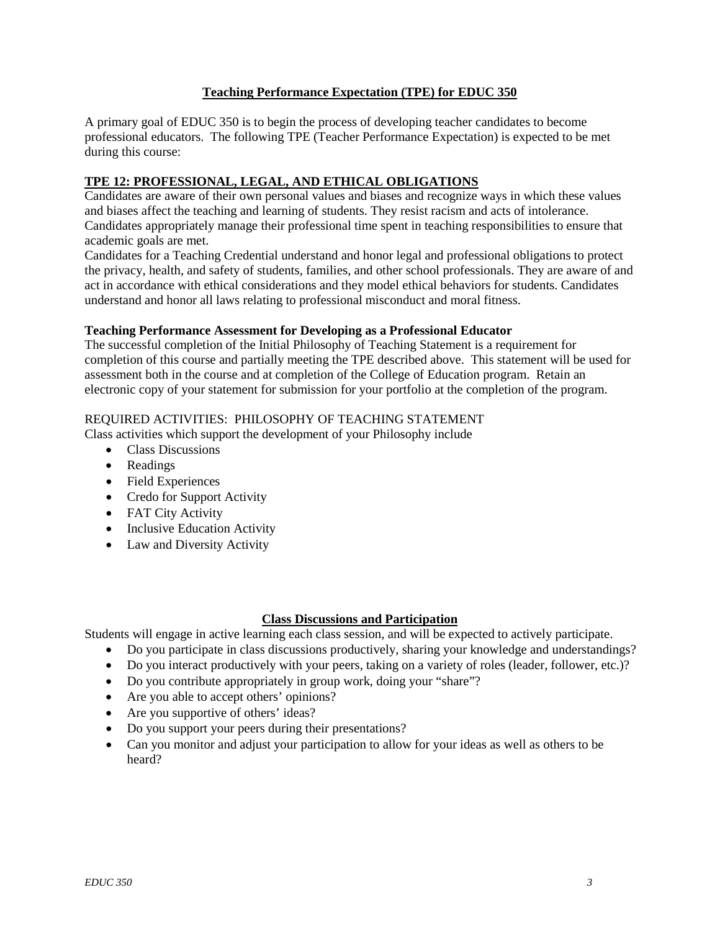## **Teaching Performance Expectation (TPE) for EDUC 350**

A primary goal of EDUC 350 is to begin the process of developing teacher candidates to become professional educators. The following TPE (Teacher Performance Expectation) is expected to be met during this course:

## **TPE 12: PROFESSIONAL, LEGAL, AND ETHICAL OBLIGATIONS**

Candidates are aware of their own personal values and biases and recognize ways in which these values and biases affect the teaching and learning of students. They resist racism and acts of intolerance. Candidates appropriately manage their professional time spent in teaching responsibilities to ensure that academic goals are met.

Candidates for a Teaching Credential understand and honor legal and professional obligations to protect the privacy, health, and safety of students, families, and other school professionals. They are aware of and act in accordance with ethical considerations and they model ethical behaviors for students. Candidates understand and honor all laws relating to professional misconduct and moral fitness.

## **Teaching Performance Assessment for Developing as a Professional Educator**

The successful completion of the Initial Philosophy of Teaching Statement is a requirement for completion of this course and partially meeting the TPE described above. This statement will be used for assessment both in the course and at completion of the College of Education program. Retain an electronic copy of your statement for submission for your portfolio at the completion of the program.

## REQUIRED ACTIVITIES: PHILOSOPHY OF TEACHING STATEMENT

Class activities which support the development of your Philosophy include

- Class Discussions
- Readings
- Field Experiences
- Credo for Support Activity
- FAT City Activity
- Inclusive Education Activity
- Law and Diversity Activity

## **Class Discussions and Participation**

Students will engage in active learning each class session, and will be expected to actively participate.

- Do you participate in class discussions productively, sharing your knowledge and understandings?
- Do you interact productively with your peers, taking on a variety of roles (leader, follower, etc.)?
- Do you contribute appropriately in group work, doing your "share"?
- Are you able to accept others' opinions?
- Are you supportive of others' ideas?
- Do you support your peers during their presentations?
- Can you monitor and adjust your participation to allow for your ideas as well as others to be heard?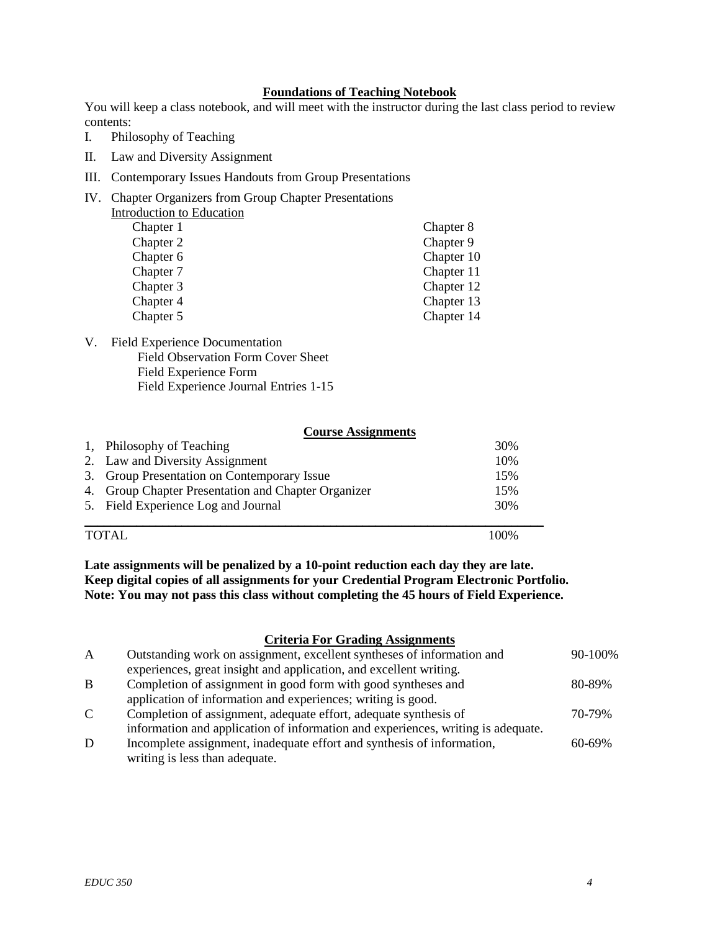## **Foundations of Teaching Notebook**

You will keep a class notebook, and will meet with the instructor during the last class period to review contents:

- I. Philosophy of Teaching
- II. Law and Diversity Assignment
- III. Contemporary Issues Handouts from Group Presentations
- IV. Chapter Organizers from Group Chapter Presentations Introduction to Education

| Chapter 1 | Chapter 8  |
|-----------|------------|
| Chapter 2 | Chapter 9  |
| Chapter 6 | Chapter 10 |
| Chapter 7 | Chapter 11 |
| Chapter 3 | Chapter 12 |
| Chapter 4 | Chapter 13 |
| Chapter 5 | Chapter 14 |

V. Field Experience Documentation Field Observation Form Cover Sheet Field Experience Form Field Experience Journal Entries 1-15

#### **Course Assignments**

| 1, Philosophy of Teaching                           | 30% |
|-----------------------------------------------------|-----|
| 2. Law and Diversity Assignment                     | 10% |
| 3. Group Presentation on Contemporary Issue         | 15% |
| 4. Group Chapter Presentation and Chapter Organizer | 15% |
| 5. Field Experience Log and Journal                 | 30% |
|                                                     |     |

#### TOTAL 100%

**Late assignments will be penalized by a 10-point reduction each day they are late. Keep digital copies of all assignments for your Credential Program Electronic Portfolio. Note: You may not pass this class without completing the 45 hours of Field Experience.**

#### **Criteria For Grading Assignments**

| $\mathbf{A}$ | Outstanding work on assignment, excellent syntheses of information and           | 90-100%     |
|--------------|----------------------------------------------------------------------------------|-------------|
|              | experiences, great insight and application, and excellent writing.               |             |
| B            | Completion of assignment in good form with good syntheses and                    | 80-89%      |
|              | application of information and experiences; writing is good.                     |             |
| C            | Completion of assignment, adequate effort, adequate synthesis of                 | 70-79%      |
|              | information and application of information and experiences, writing is adequate. |             |
| D            | Incomplete assignment, inadequate effort and synthesis of information,           | $60 - 69\%$ |
|              | writing is less than adequate.                                                   |             |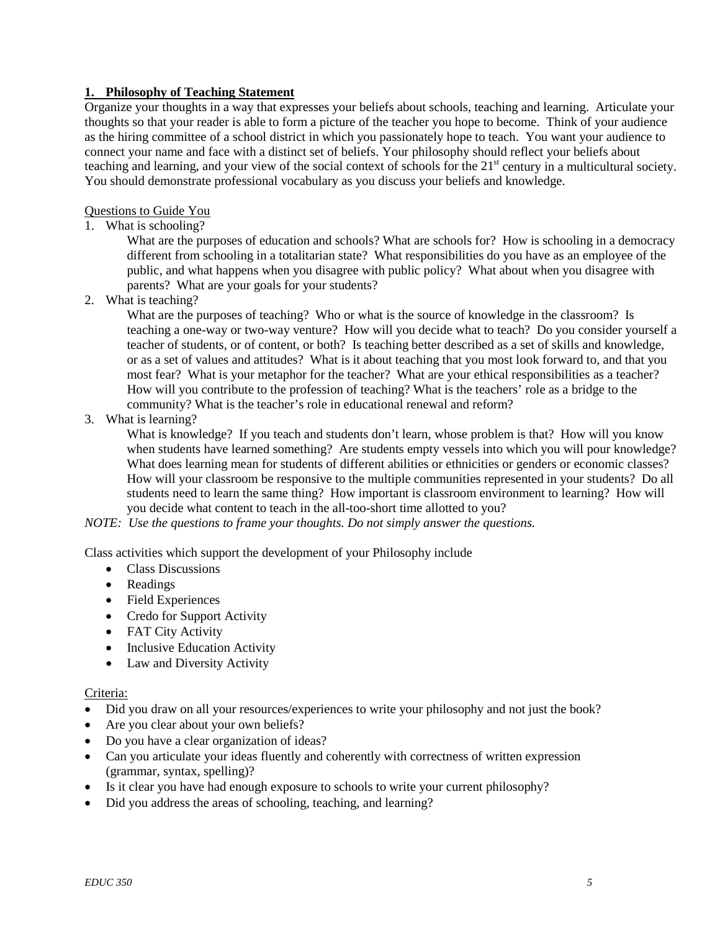## **1. Philosophy of Teaching Statement**

Organize your thoughts in a way that expresses your beliefs about schools, teaching and learning. Articulate your thoughts so that your reader is able to form a picture of the teacher you hope to become. Think of your audience as the hiring committee of a school district in which you passionately hope to teach. You want your audience to connect your name and face with a distinct set of beliefs. Your philosophy should reflect your beliefs about teaching and learning, and your view of the social context of schools for the  $21<sup>st</sup>$  century in a multicultural society. You should demonstrate professional vocabulary as you discuss your beliefs and knowledge.

## Questions to Guide You

1. What is schooling?

What are the purposes of education and schools? What are schools for? How is schooling in a democracy different from schooling in a totalitarian state? What responsibilities do you have as an employee of the public, and what happens when you disagree with public policy? What about when you disagree with parents? What are your goals for your students?

2. What is teaching?

What are the purposes of teaching? Who or what is the source of knowledge in the classroom? Is teaching a one-way or two-way venture? How will you decide what to teach? Do you consider yourself a teacher of students, or of content, or both? Is teaching better described as a set of skills and knowledge, or as a set of values and attitudes? What is it about teaching that you most look forward to, and that you most fear? What is your metaphor for the teacher? What are your ethical responsibilities as a teacher? How will you contribute to the profession of teaching? What is the teachers' role as a bridge to the community? What is the teacher's role in educational renewal and reform?

3. What is learning?

What is knowledge? If you teach and students don't learn, whose problem is that? How will you know when students have learned something? Are students empty vessels into which you will pour knowledge? What does learning mean for students of different abilities or ethnicities or genders or economic classes? How will your classroom be responsive to the multiple communities represented in your students? Do all students need to learn the same thing? How important is classroom environment to learning? How will you decide what content to teach in the all-too-short time allotted to you?

*NOTE: Use the questions to frame your thoughts. Do not simply answer the questions.*

Class activities which support the development of your Philosophy include

- Class Discussions
- Readings
- Field Experiences
- Credo for Support Activity
- FAT City Activity
- Inclusive Education Activity
- Law and Diversity Activity

## Criteria:

- Did you draw on all your resources/experiences to write your philosophy and not just the book?
- Are you clear about your own beliefs?
- Do you have a clear organization of ideas?
- Can you articulate your ideas fluently and coherently with correctness of written expression (grammar, syntax, spelling)?
- Is it clear you have had enough exposure to schools to write your current philosophy?
- Did you address the areas of schooling, teaching, and learning?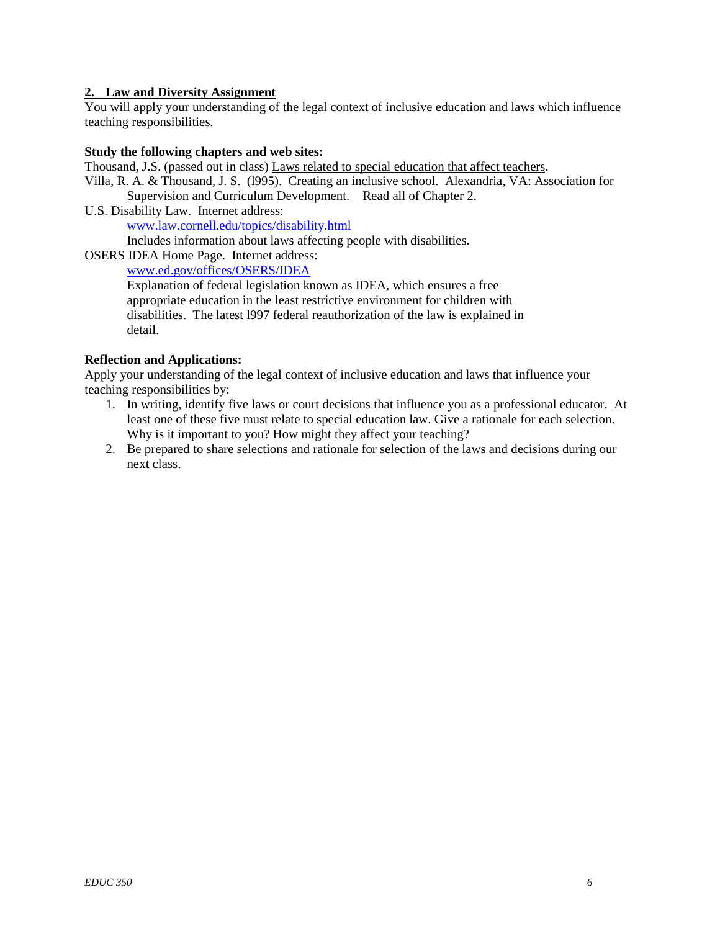## **2. Law and Diversity Assignment**

You will apply your understanding of the legal context of inclusive education and laws which influence teaching responsibilities.

#### **Study the following chapters and web sites:**

Thousand, J.S. (passed out in class) Laws related to special education that affect teachers.

Villa, R. A. & Thousand, J. S. (l995). Creating an inclusive school. Alexandria, VA: Association for Supervision and Curriculum Development. Read all of Chapter 2.

U.S. Disability Law. Internet address: www.law.cornell.edu/topics/disability.html Includes information about laws affecting people with disabilities.

OSERS IDEA Home Page. Internet address:

www.ed.gov/offices/OSERS/IDEA

Explanation of federal legislation known as IDEA, which ensures a free appropriate education in the least restrictive environment for children with disabilities. The latest l997 federal reauthorization of the law is explained in detail.

## **Reflection and Applications:**

Apply your understanding of the legal context of inclusive education and laws that influence your teaching responsibilities by:

- 1. In writing, identify five laws or court decisions that influence you as a professional educator. At least one of these five must relate to special education law. Give a rationale for each selection. Why is it important to you? How might they affect your teaching?
- 2. Be prepared to share selections and rationale for selection of the laws and decisions during our next class.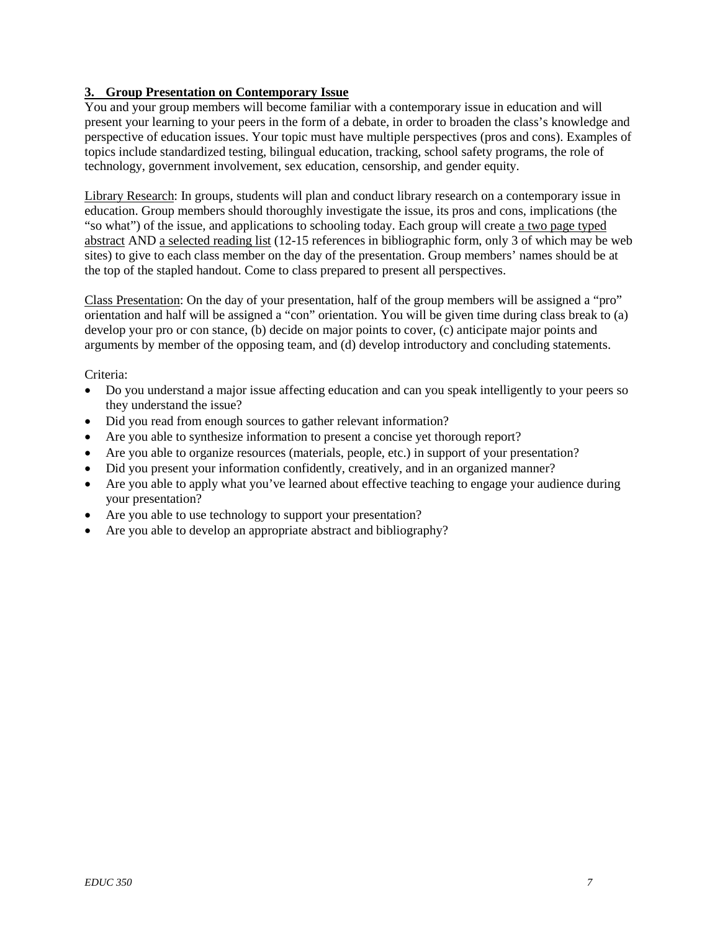## **3. Group Presentation on Contemporary Issue**

You and your group members will become familiar with a contemporary issue in education and will present your learning to your peers in the form of a debate, in order to broaden the class's knowledge and perspective of education issues. Your topic must have multiple perspectives (pros and cons). Examples of topics include standardized testing, bilingual education, tracking, school safety programs, the role of technology, government involvement, sex education, censorship, and gender equity.

Library Research: In groups, students will plan and conduct library research on a contemporary issue in education. Group members should thoroughly investigate the issue, its pros and cons, implications (the "so what") of the issue, and applications to schooling today. Each group will create a two page typed abstract AND a selected reading list (12-15 references in bibliographic form, only 3 of which may be web sites) to give to each class member on the day of the presentation. Group members' names should be at the top of the stapled handout. Come to class prepared to present all perspectives.

Class Presentation: On the day of your presentation, half of the group members will be assigned a "pro" orientation and half will be assigned a "con" orientation. You will be given time during class break to (a) develop your pro or con stance, (b) decide on major points to cover, (c) anticipate major points and arguments by member of the opposing team, and (d) develop introductory and concluding statements.

Criteria:

- Do you understand a major issue affecting education and can you speak intelligently to your peers so they understand the issue?
- Did you read from enough sources to gather relevant information?
- Are you able to synthesize information to present a concise yet thorough report?
- Are you able to organize resources (materials, people, etc.) in support of your presentation?
- Did you present your information confidently, creatively, and in an organized manner?
- Are you able to apply what you've learned about effective teaching to engage your audience during your presentation?
- Are you able to use technology to support your presentation?
- Are you able to develop an appropriate abstract and bibliography?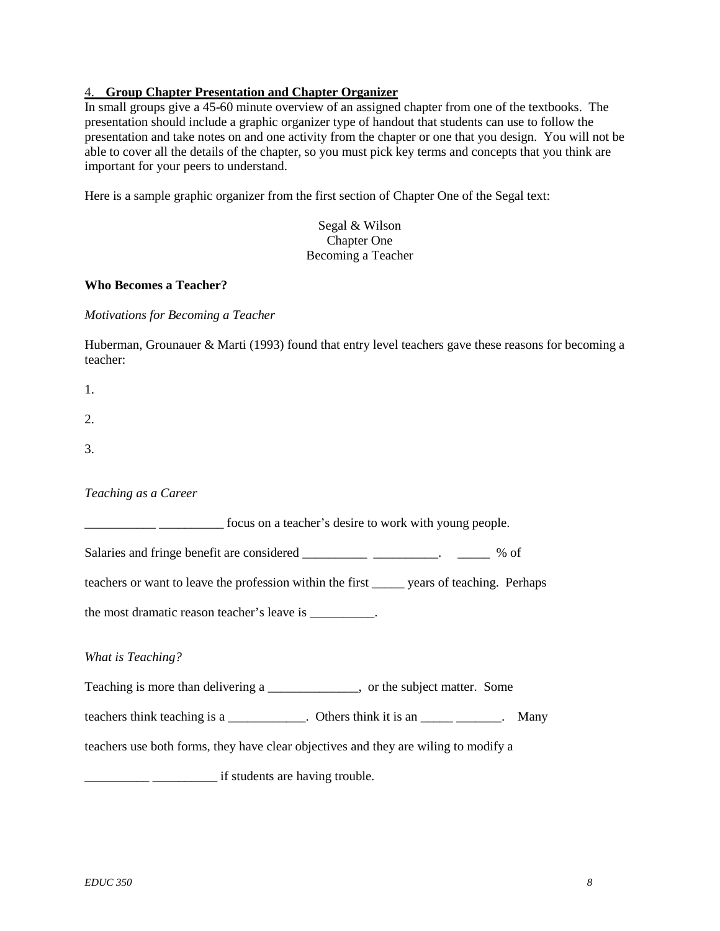## 4. **Group Chapter Presentation and Chapter Organizer**

In small groups give a 45-60 minute overview of an assigned chapter from one of the textbooks. The presentation should include a graphic organizer type of handout that students can use to follow the presentation and take notes on and one activity from the chapter or one that you design. You will not be able to cover all the details of the chapter, so you must pick key terms and concepts that you think are important for your peers to understand.

Here is a sample graphic organizer from the first section of Chapter One of the Segal text:

Segal & Wilson Chapter One Becoming a Teacher

#### **Who Becomes a Teacher?**

*Motivations for Becoming a Teacher*

Huberman, Grounauer & Marti (1993) found that entry level teachers gave these reasons for becoming a teacher:

| 1. |  |  |  |
|----|--|--|--|
| 2. |  |  |  |
| 3. |  |  |  |

## *Teaching as a Career*

\_\_\_\_\_\_\_\_\_\_\_ \_\_\_\_\_\_\_\_\_\_ focus on a teacher's desire to work with young people.

Salaries and fringe benefit are considered \_\_\_\_\_\_\_\_\_\_\_\_\_\_\_\_\_\_\_\_\_\_\_. \_\_\_\_\_\_\_ % of

teachers or want to leave the profession within the first \_\_\_\_\_ years of teaching. Perhaps

the most dramatic reason teacher's leave is \_\_\_\_\_\_\_\_\_.

#### *What is Teaching?*

Teaching is more than delivering a \_\_\_\_\_\_\_\_\_\_\_\_\_\_, or the subject matter. Some

teachers think teaching is a \_\_\_\_\_\_\_\_\_\_. Others think it is an \_\_\_\_\_\_\_\_\_\_\_. Many

teachers use both forms, they have clear objectives and they are wiling to modify a

\_\_\_\_\_\_\_\_\_\_ \_\_\_\_\_\_\_\_\_\_ if students are having trouble.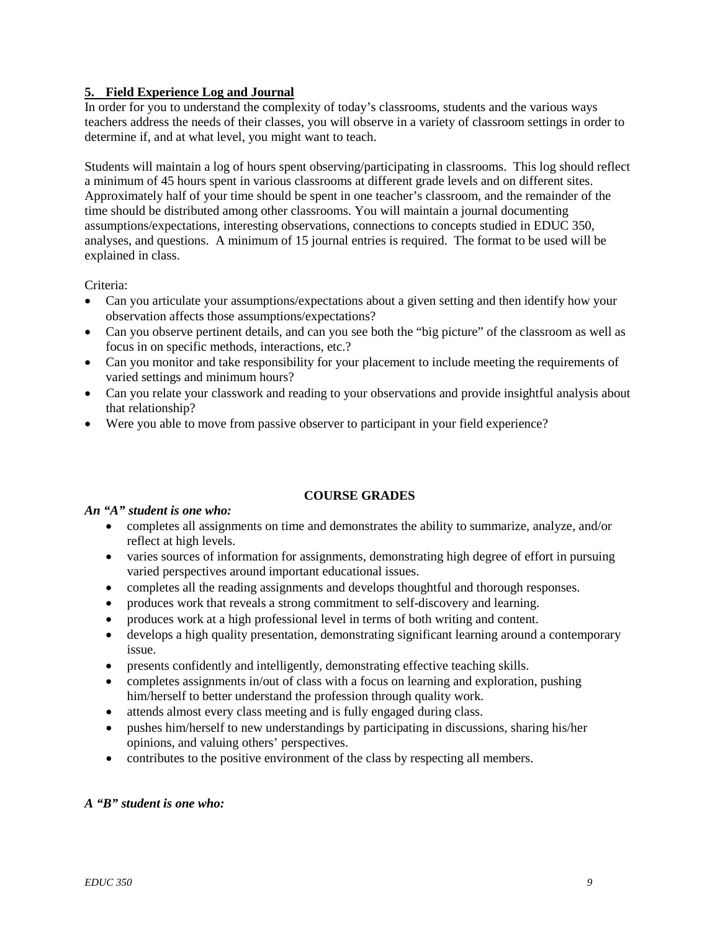# **5. Field Experience Log and Journal**

In order for you to understand the complexity of today's classrooms, students and the various ways teachers address the needs of their classes, you will observe in a variety of classroom settings in order to determine if, and at what level, you might want to teach.

Students will maintain a log of hours spent observing/participating in classrooms. This log should reflect a minimum of 45 hours spent in various classrooms at different grade levels and on different sites. Approximately half of your time should be spent in one teacher's classroom, and the remainder of the time should be distributed among other classrooms. You will maintain a journal documenting assumptions/expectations, interesting observations, connections to concepts studied in EDUC 350, analyses, and questions. A minimum of 15 journal entries is required. The format to be used will be explained in class.

## Criteria:

- Can you articulate your assumptions/expectations about a given setting and then identify how your observation affects those assumptions/expectations?
- Can you observe pertinent details, and can you see both the "big picture" of the classroom as well as focus in on specific methods, interactions, etc.?
- Can you monitor and take responsibility for your placement to include meeting the requirements of varied settings and minimum hours?
- Can you relate your classwork and reading to your observations and provide insightful analysis about that relationship?
- Were you able to move from passive observer to participant in your field experience?

## **COURSE GRADES**

## *An "A" student is one who:*

- completes all assignments on time and demonstrates the ability to summarize, analyze, and/or reflect at high levels.
- varies sources of information for assignments, demonstrating high degree of effort in pursuing varied perspectives around important educational issues.
- completes all the reading assignments and develops thoughtful and thorough responses.
- produces work that reveals a strong commitment to self-discovery and learning.
- produces work at a high professional level in terms of both writing and content.
- develops a high quality presentation, demonstrating significant learning around a contemporary issue.
- presents confidently and intelligently, demonstrating effective teaching skills.
- completes assignments in/out of class with a focus on learning and exploration, pushing him/herself to better understand the profession through quality work.
- attends almost every class meeting and is fully engaged during class.
- pushes him/herself to new understandings by participating in discussions, sharing his/her opinions, and valuing others' perspectives.
- contributes to the positive environment of the class by respecting all members.

## *A "B" student is one who:*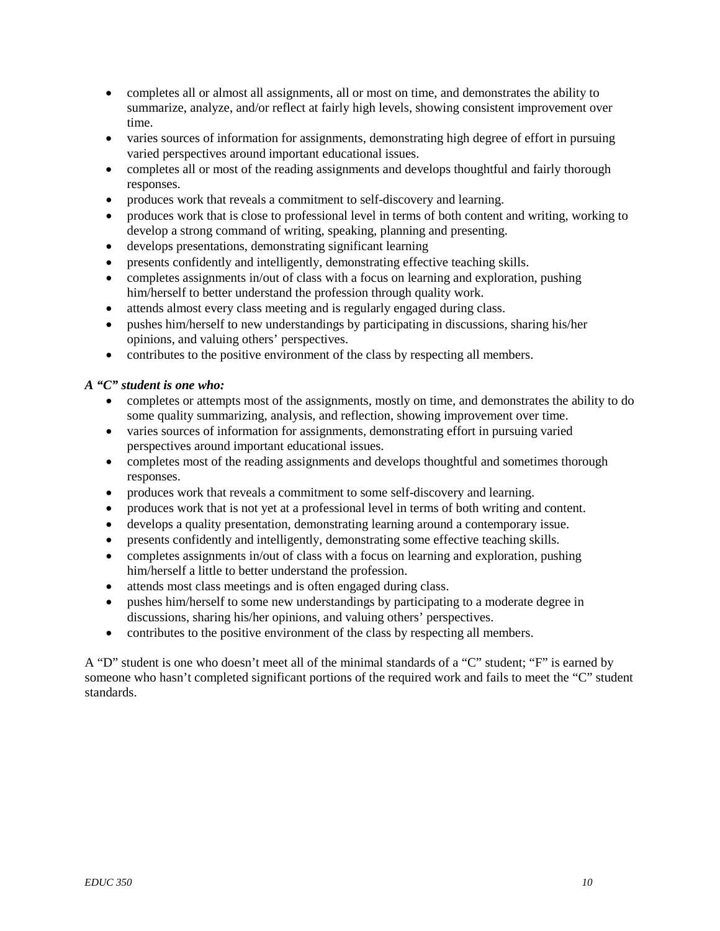- completes all or almost all assignments, all or most on time, and demonstrates the ability to summarize, analyze, and/or reflect at fairly high levels, showing consistent improvement over time.
- varies sources of information for assignments, demonstrating high degree of effort in pursuing varied perspectives around important educational issues.
- completes all or most of the reading assignments and develops thoughtful and fairly thorough responses.
- produces work that reveals a commitment to self-discovery and learning.
- produces work that is close to professional level in terms of both content and writing, working to develop a strong command of writing, speaking, planning and presenting.
- develops presentations, demonstrating significant learning
- presents confidently and intelligently, demonstrating effective teaching skills.
- completes assignments in/out of class with a focus on learning and exploration, pushing him/herself to better understand the profession through quality work.
- attends almost every class meeting and is regularly engaged during class.
- pushes him/herself to new understandings by participating in discussions, sharing his/her opinions, and valuing others' perspectives.
- contributes to the positive environment of the class by respecting all members.

## *A "C" student is one who:*

- completes or attempts most of the assignments, mostly on time, and demonstrates the ability to do some quality summarizing, analysis, and reflection, showing improvement over time.
- varies sources of information for assignments, demonstrating effort in pursuing varied perspectives around important educational issues.
- completes most of the reading assignments and develops thoughtful and sometimes thorough responses.
- produces work that reveals a commitment to some self-discovery and learning.
- produces work that is not yet at a professional level in terms of both writing and content.
- develops a quality presentation, demonstrating learning around a contemporary issue.
- presents confidently and intelligently, demonstrating some effective teaching skills.
- completes assignments in/out of class with a focus on learning and exploration, pushing him/herself a little to better understand the profession.
- attends most class meetings and is often engaged during class.
- pushes him/herself to some new understandings by participating to a moderate degree in discussions, sharing his/her opinions, and valuing others' perspectives.
- contributes to the positive environment of the class by respecting all members.

A "D" student is one who doesn't meet all of the minimal standards of a "C" student; "F" is earned by someone who hasn't completed significant portions of the required work and fails to meet the "C" student standards.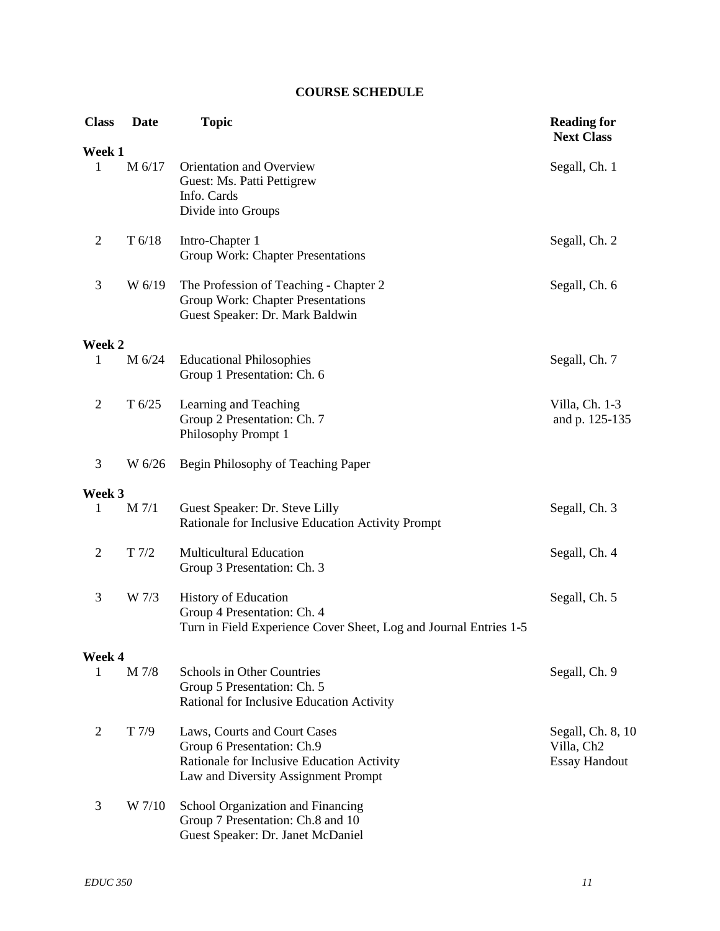# **COURSE SCHEDULE**

| <b>Class</b>           | <b>Date</b> | <b>Topic</b>                                                                                                                                    | <b>Reading for</b><br><b>Next Class</b>                             |
|------------------------|-------------|-------------------------------------------------------------------------------------------------------------------------------------------------|---------------------------------------------------------------------|
| Week 1<br>$\mathbf{1}$ | M 6/17      | Orientation and Overview<br>Guest: Ms. Patti Pettigrew<br>Info. Cards<br>Divide into Groups                                                     | Segall, Ch. 1                                                       |
| $\overline{2}$         | T 6/18      | Intro-Chapter 1<br>Group Work: Chapter Presentations                                                                                            | Segall, Ch. 2                                                       |
| $\mathfrak{Z}$         | W 6/19      | The Profession of Teaching - Chapter 2<br>Group Work: Chapter Presentations<br>Guest Speaker: Dr. Mark Baldwin                                  | Segall, Ch. 6                                                       |
| Week 2                 |             |                                                                                                                                                 |                                                                     |
| $\mathbf{1}$           | M 6/24      | <b>Educational Philosophies</b><br>Group 1 Presentation: Ch. 6                                                                                  | Segall, Ch. 7                                                       |
| $\overline{2}$         | T 6/25      | Learning and Teaching<br>Group 2 Presentation: Ch. 7<br>Philosophy Prompt 1                                                                     | Villa, Ch. 1-3<br>and p. 125-135                                    |
| 3                      | W 6/26      | Begin Philosophy of Teaching Paper                                                                                                              |                                                                     |
| Week 3                 |             |                                                                                                                                                 |                                                                     |
| 1                      | $M$ $7/1$   | Guest Speaker: Dr. Steve Lilly<br>Rationale for Inclusive Education Activity Prompt                                                             | Segall, Ch. 3                                                       |
| $\overline{2}$         | T 7/2       | <b>Multicultural Education</b><br>Group 3 Presentation: Ch. 3                                                                                   | Segall, Ch. 4                                                       |
| 3                      | W 7/3       | <b>History of Education</b><br>Group 4 Presentation: Ch. 4<br>Turn in Field Experience Cover Sheet, Log and Journal Entries 1-5                 | Segall, Ch. 5                                                       |
| Week 4                 |             |                                                                                                                                                 |                                                                     |
| 1                      | M 7/8       | Schools in Other Countries<br>Group 5 Presentation: Ch. 5<br>Rational for Inclusive Education Activity                                          | Segall, Ch. 9                                                       |
| $\overline{2}$         | T 7/9       | Laws, Courts and Court Cases<br>Group 6 Presentation: Ch.9<br>Rationale for Inclusive Education Activity<br>Law and Diversity Assignment Prompt | Segall, Ch. 8, 10<br>Villa, Ch <sub>2</sub><br><b>Essay Handout</b> |
| 3                      | W 7/10      | School Organization and Financing<br>Group 7 Presentation: Ch.8 and 10<br>Guest Speaker: Dr. Janet McDaniel                                     |                                                                     |